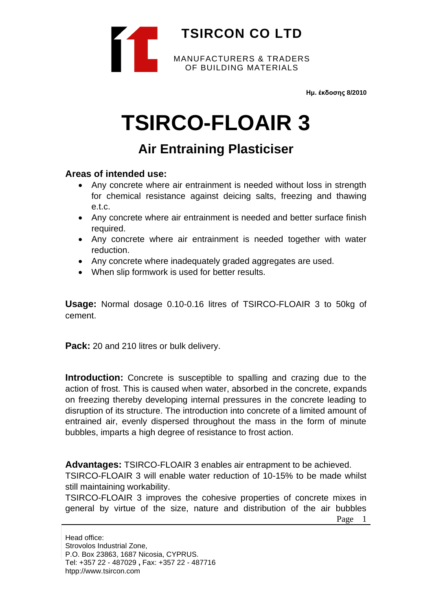

**Ημ. έκδοσης 8/2010**

# **TSIRCO-FLOAIR 3**

## **Air Entraining Plasticiser**

#### **Areas of intended use:**

- Any concrete where air entrainment is needed without loss in strength for chemical resistance against deicing salts, freezing and thawing e.t.c.
- Any concrete where air entrainment is needed and better surface finish required.
- Any concrete where air entrainment is needed together with water reduction.
- Any concrete where inadequately graded aggregates are used.
- When slip formwork is used for better results.

**Usage:** Normal dosage 0.10-0.16 litres of TSIRCO-FLOAIR 3 to 50kg of cement.

**Pack:** 20 and 210 litres or bulk delivery.

**Introduction:** Concrete is susceptible to spalling and crazing due to the action of frost. This is caused when water, absorbed in the concrete, expands on freezing thereby developing internal pressures in the concrete leading to disruption of its structure. The introduction into concrete of a limited amount of entrained air, evenly dispersed throughout the mass in the form of minute bubbles, imparts a high degree of resistance to frost action.

**Advantages:** TSIRCO-FLOAIR 3 enables air entrapment to be achieved.

TSIRCO-FLOAIR 3 will enable water reduction of 10-15% to be made whilst still maintaining workability.

TSIRCO-FLOAIR 3 improves the cohesive properties of concrete mixes in general by virtue of the size, nature and distribution of the air bubbles

Page 1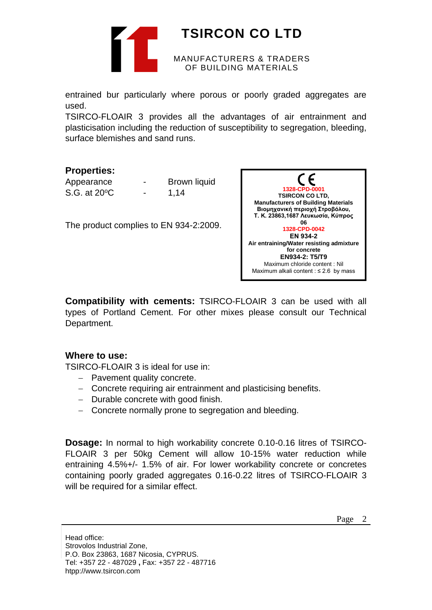

# **TSIRCON CO LTD**

#### MANUFACTURERS & TRADERS OF BUILDING MATERIALS

entrained bur particularly where porous or poorly graded aggregates are used.

TSIRCO-FLOAIR 3 provides all the advantages of air entrainment and plasticisation including the reduction of susceptibility to segregation, bleeding, surface blemishes and sand runs.

### **Properties:**

| Appearance    | - | Brown liquid |
|---------------|---|--------------|
| S.G. at 20 °C |   | 1,14         |

The product complies to EN 934-2:2009.



**Compatibility with cements:** TSIRCO-FLOAIR 3 can be used with all types of Portland Cement. For other mixes please consult our Technical Department.

### **Where to use:**

TSIRCO-FLOAIR 3 is ideal for use in:

- − Pavement quality concrete.
- − Concrete requiring air entrainment and plasticising benefits.
- − Durable concrete with good finish.
- − Concrete normally prone to segregation and bleeding.

**Dosage:** In normal to high workability concrete 0.10-0.16 litres of TSIRCO-FLOAIR 3 per 50kg Cement will allow 10-15% water reduction while entraining 4.5%+/- 1.5% of air. For lower workability concrete or concretes containing poorly graded aggregates 0.16-0.22 litres of TSIRCO-FLOAIR 3 will be required for a similar effect.

Page 2

Head office: Strovolos Industrial Zone, P.O. Box 23863, 1687 Nicosia, CYPRUS. Tel: +357 22 - 487029 **,** Fax: +357 22 - 487716 htpp://www.tsircon.com